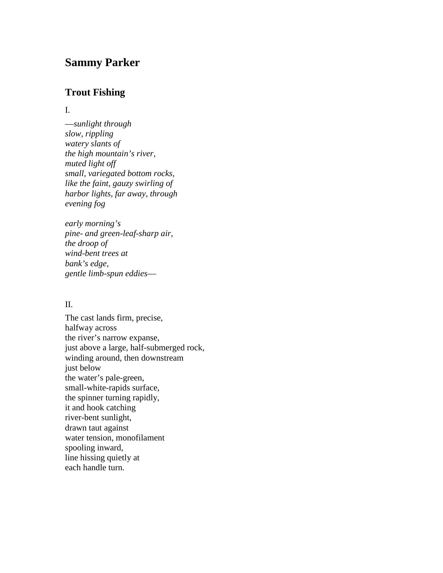# **Sammy Parker**

# **Trout Fishing**

## I.

—*sunlight through slow, rippling watery slants of the high mountain's river, muted light off small, variegated bottom rocks, like the faint, gauzy swirling of harbor lights, far away, through evening fog*

*early morning's pine- and green-leaf-sharp air, the droop of wind-bent trees at bank's edge, gentle limb-spun eddies*—

# II.

The cast lands firm, precise, halfway across the river's narrow expanse, just above a large, half-submerged rock, winding around, then downstream just below the water's pale-green, small-white-rapids surface, the spinner turning rapidly, it and hook catching river-bent sunlight, drawn taut against water tension, monofilament spooling inward, line hissing quietly at each handle turn.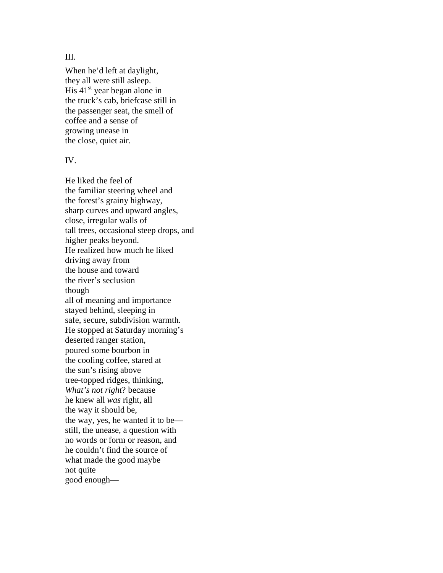III.

When he'd left at daylight, they all were still asleep. His  $41<sup>st</sup>$  year began alone in the truck's cab, briefcase still in the passenger seat, the smell of coffee and a sense of growing unease in the close, quiet air.

### IV.

He liked the feel of the familiar steering wheel and the forest's grainy highway, sharp curves and upward angles, close, irregular walls of tall trees, occasional steep drops, and higher peaks beyond. He realized how much he liked driving away from the house and toward the river's seclusion though all of meaning and importance stayed behind, sleeping in safe, secure, subdivision warmth. He stopped at Saturday morning's deserted ranger station, poured some bourbon in the cooling coffee, stared at the sun's rising above tree-topped ridges, thinking, *What's not right*? because he knew all *was* right, all the way it should be, the way, yes, he wanted it to be still, the unease, a question with no words or form or reason, and he couldn't find the source of what made the good maybe not quite good enough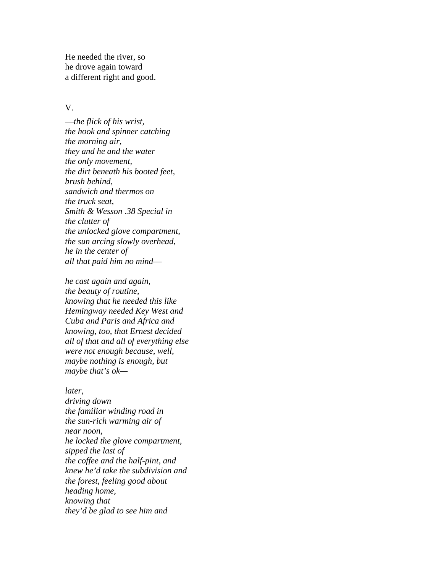He needed the river, so he drove again toward a different right and good.

### V.

—*the flick of his wrist, the hook and spinner catching the morning air, they and he and the water the only movement, the dirt beneath his booted feet, brush behind, sandwich and thermos on the truck seat, Smith & Wesson .38 Special in the clutter of the unlocked glove compartment, the sun arcing slowly overhead, he in the center of all that paid him no mind*—

*he cast again and again, the beauty of routine, knowing that he needed this like Hemingway needed Key West and Cuba and Paris and Africa and knowing, too, that Ernest decided all of that and all of everything else were not enough because, well, maybe nothing is enough, but maybe that's ok—*

*later, driving down the familiar winding road in the sun-rich warming air of near noon, he locked the glove compartment, sipped the last of the coffee and the half-pint, and knew he'd take the subdivision and the forest, feeling good about heading home, knowing that they'd be glad to see him and*